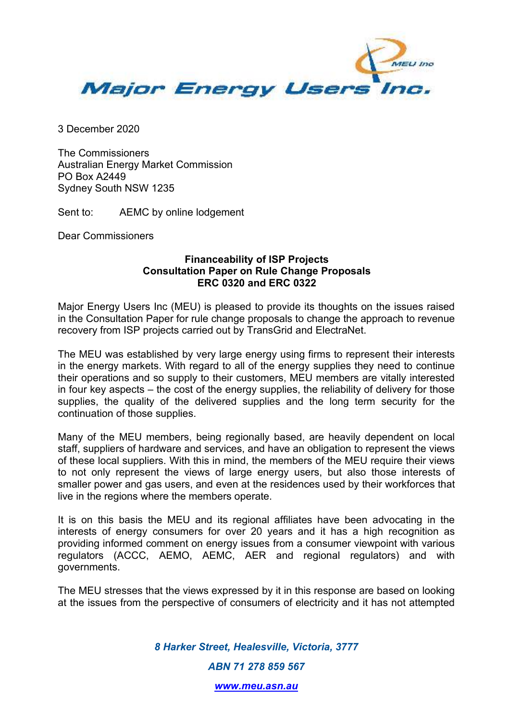

3 December 2020

The Commissioners Australian Energy Market Commission PO Box A2449 Sydney South NSW 1235

Sent to: AEMC by online lodgement

Dear Commissioners

## **Financeability of ISP Projects Consultation Paper on Rule Change Proposals ERC 0320 and ERC 0322**

Major Energy Users Inc (MEU) is pleased to provide its thoughts on the issues raised in the Consultation Paper for rule change proposals to change the approach to revenue recovery from ISP projects carried out by TransGrid and ElectraNet.

The MEU was established by very large energy using firms to represent their interests in the energy markets. With regard to all of the energy supplies they need to continue their operations and so supply to their customers, MEU members are vitally interested in four key aspects – the cost of the energy supplies, the reliability of delivery for those supplies, the quality of the delivered supplies and the long term security for the continuation of those supplies.

Many of the MEU members, being regionally based, are heavily dependent on local staff, suppliers of hardware and services, and have an obligation to represent the views of these local suppliers. With this in mind, the members of the MEU require their views to not only represent the views of large energy users, but also those interests of smaller power and gas users, and even at the residences used by their workforces that live in the regions where the members operate.

It is on this basis the MEU and its regional affiliates have been advocating in the interests of energy consumers for over 20 years and it has a high recognition as providing informed comment on energy issues from a consumer viewpoint with various regulators (ACCC, AEMO, AEMC, AER and regional regulators) and with governments.

The MEU stresses that the views expressed by it in this response are based on looking at the issues from the perspective of consumers of electricity and it has not attempted

> *8 Harker Street, Healesville, Victoria, 3777 ABN 71 278 859 567*

> > *www.meu.asn.au*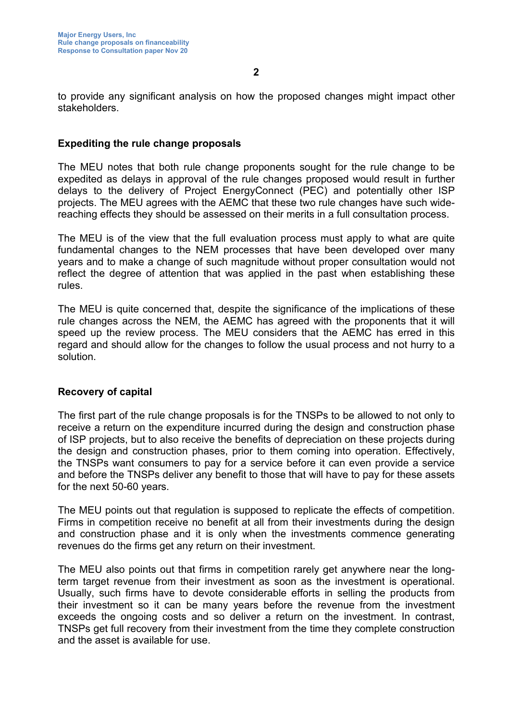to provide any significant analysis on how the proposed changes might impact other stakeholders.

## **Expediting the rule change proposals**

The MEU notes that both rule change proponents sought for the rule change to be expedited as delays in approval of the rule changes proposed would result in further delays to the delivery of Project EnergyConnect (PEC) and potentially other ISP projects. The MEU agrees with the AEMC that these two rule changes have such widereaching effects they should be assessed on their merits in a full consultation process.

The MEU is of the view that the full evaluation process must apply to what are quite fundamental changes to the NEM processes that have been developed over many years and to make a change of such magnitude without proper consultation would not reflect the degree of attention that was applied in the past when establishing these rules.

The MEU is quite concerned that, despite the significance of the implications of these rule changes across the NEM, the AEMC has agreed with the proponents that it will speed up the review process. The MEU considers that the AEMC has erred in this regard and should allow for the changes to follow the usual process and not hurry to a solution.

## **Recovery of capital**

The first part of the rule change proposals is for the TNSPs to be allowed to not only to receive a return on the expenditure incurred during the design and construction phase of ISP projects, but to also receive the benefits of depreciation on these projects during the design and construction phases, prior to them coming into operation. Effectively, the TNSPs want consumers to pay for a service before it can even provide a service and before the TNSPs deliver any benefit to those that will have to pay for these assets for the next 50-60 years.

The MEU points out that regulation is supposed to replicate the effects of competition. Firms in competition receive no benefit at all from their investments during the design and construction phase and it is only when the investments commence generating revenues do the firms get any return on their investment.

The MEU also points out that firms in competition rarely get anywhere near the longterm target revenue from their investment as soon as the investment is operational. Usually, such firms have to devote considerable efforts in selling the products from their investment so it can be many years before the revenue from the investment exceeds the ongoing costs and so deliver a return on the investment. In contrast, TNSPs get full recovery from their investment from the time they complete construction and the asset is available for use.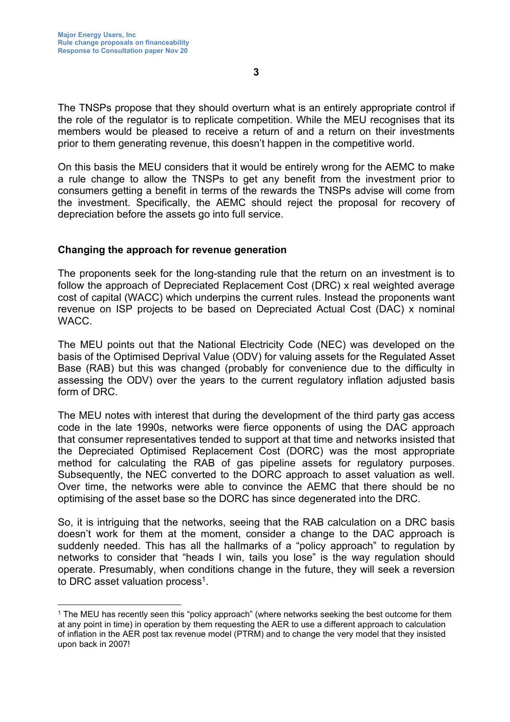The TNSPs propose that they should overturn what is an entirely appropriate control if the role of the regulator is to replicate competition. While the MEU recognises that its members would be pleased to receive a return of and a return on their investments prior to them generating revenue, this doesn't happen in the competitive world.

On this basis the MEU considers that it would be entirely wrong for the AEMC to make a rule change to allow the TNSPs to get any benefit from the investment prior to consumers getting a benefit in terms of the rewards the TNSPs advise will come from the investment. Specifically, the AEMC should reject the proposal for recovery of depreciation before the assets go into full service.

### **Changing the approach for revenue generation**

The proponents seek for the long-standing rule that the return on an investment is to follow the approach of Depreciated Replacement Cost (DRC) x real weighted average cost of capital (WACC) which underpins the current rules. Instead the proponents want revenue on ISP projects to be based on Depreciated Actual Cost (DAC) x nominal **WACC.** 

The MEU points out that the National Electricity Code (NEC) was developed on the basis of the Optimised Deprival Value (ODV) for valuing assets for the Regulated Asset Base (RAB) but this was changed (probably for convenience due to the difficulty in assessing the ODV) over the years to the current regulatory inflation adjusted basis form of DRC.

The MEU notes with interest that during the development of the third party gas access code in the late 1990s, networks were fierce opponents of using the DAC approach that consumer representatives tended to support at that time and networks insisted that the Depreciated Optimised Replacement Cost (DORC) was the most appropriate method for calculating the RAB of gas pipeline assets for regulatory purposes. Subsequently, the NEC converted to the DORC approach to asset valuation as well. Over time, the networks were able to convince the AEMC that there should be no optimising of the asset base so the DORC has since degenerated into the DRC.

So, it is intriguing that the networks, seeing that the RAB calculation on a DRC basis doesn't work for them at the moment, consider a change to the DAC approach is suddenly needed. This has all the hallmarks of a "policy approach" to regulation by networks to consider that "heads I win, tails you lose" is the way regulation should operate. Presumably, when conditions change in the future, they will seek a reversion to DRC asset valuation process<sup>1</sup>.

<sup>1</sup> The MEU has recently seen this "policy approach" (where networks seeking the best outcome for them at any point in time) in operation by them requesting the AER to use a different approach to calculation of inflation in the AER post tax revenue model (PTRM) and to change the very model that they insisted upon back in 2007!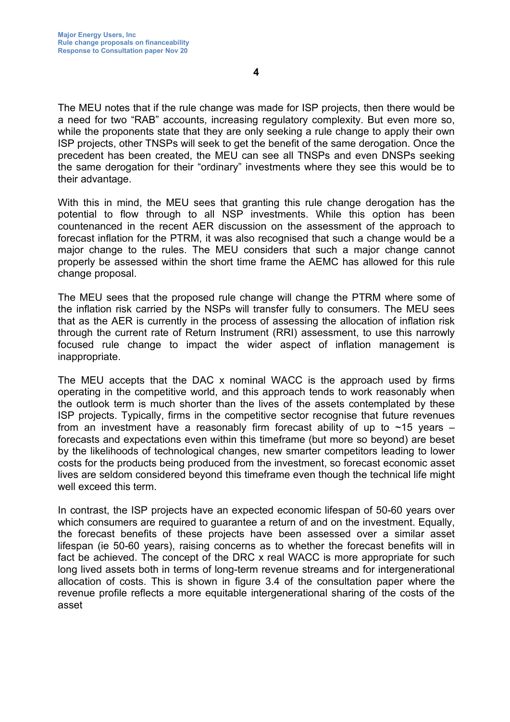The MEU notes that if the rule change was made for ISP projects, then there would be a need for two "RAB" accounts, increasing regulatory complexity. But even more so, while the proponents state that they are only seeking a rule change to apply their own ISP projects, other TNSPs will seek to get the benefit of the same derogation. Once the precedent has been created, the MEU can see all TNSPs and even DNSPs seeking the same derogation for their "ordinary" investments where they see this would be to their advantage.

With this in mind, the MEU sees that granting this rule change derogation has the potential to flow through to all NSP investments. While this option has been countenanced in the recent AER discussion on the assessment of the approach to forecast inflation for the PTRM, it was also recognised that such a change would be a major change to the rules. The MEU considers that such a major change cannot properly be assessed within the short time frame the AEMC has allowed for this rule change proposal.

The MEU sees that the proposed rule change will change the PTRM where some of the inflation risk carried by the NSPs will transfer fully to consumers. The MEU sees that as the AER is currently in the process of assessing the allocation of inflation risk through the current rate of Return Instrument (RRI) assessment, to use this narrowly focused rule change to impact the wider aspect of inflation management is inappropriate.

The MEU accepts that the DAC x nominal WACC is the approach used by firms operating in the competitive world, and this approach tends to work reasonably when the outlook term is much shorter than the lives of the assets contemplated by these ISP projects. Typically, firms in the competitive sector recognise that future revenues from an investment have a reasonably firm forecast ability of up to  $\sim$ 15 years – forecasts and expectations even within this timeframe (but more so beyond) are beset by the likelihoods of technological changes, new smarter competitors leading to lower costs for the products being produced from the investment, so forecast economic asset lives are seldom considered beyond this timeframe even though the technical life might well exceed this term.

In contrast, the ISP projects have an expected economic lifespan of 50-60 years over which consumers are required to guarantee a return of and on the investment. Equally, the forecast benefits of these projects have been assessed over a similar asset lifespan (ie 50-60 years), raising concerns as to whether the forecast benefits will in fact be achieved. The concept of the DRC x real WACC is more appropriate for such long lived assets both in terms of long-term revenue streams and for intergenerational allocation of costs. This is shown in figure 3.4 of the consultation paper where the revenue profile reflects a more equitable intergenerational sharing of the costs of the asset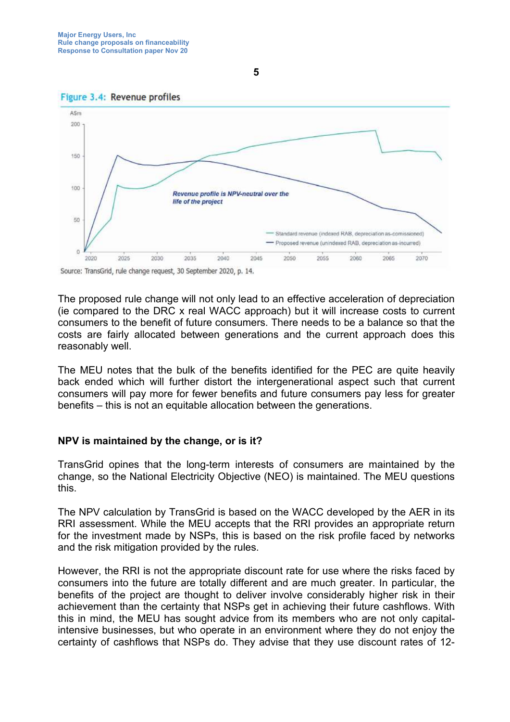



Source: TransGrid, rule change request, 30 September 2020, p. 14.

The proposed rule change will not only lead to an effective acceleration of depreciation (ie compared to the DRC x real WACC approach) but it will increase costs to current consumers to the benefit of future consumers. There needs to be a balance so that the costs are fairly allocated between generations and the current approach does this reasonably well.

The MEU notes that the bulk of the benefits identified for the PEC are quite heavily back ended which will further distort the intergenerational aspect such that current consumers will pay more for fewer benefits and future consumers pay less for greater benefits – this is not an equitable allocation between the generations.

#### **NPV is maintained by the change, or is it?**

TransGrid opines that the long-term interests of consumers are maintained by the change, so the National Electricity Objective (NEO) is maintained. The MEU questions this.

The NPV calculation by TransGrid is based on the WACC developed by the AER in its RRI assessment. While the MEU accepts that the RRI provides an appropriate return for the investment made by NSPs, this is based on the risk profile faced by networks and the risk mitigation provided by the rules.

However, the RRI is not the appropriate discount rate for use where the risks faced by consumers into the future are totally different and are much greater. In particular, the benefits of the project are thought to deliver involve considerably higher risk in their achievement than the certainty that NSPs get in achieving their future cashflows. With this in mind, the MEU has sought advice from its members who are not only capitalintensive businesses, but who operate in an environment where they do not enjoy the certainty of cashflows that NSPs do. They advise that they use discount rates of 12-

**5**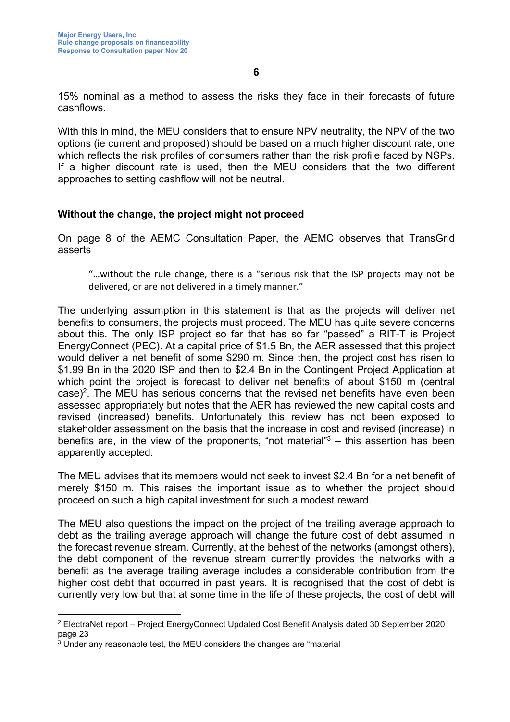15% nominal as a method to assess the risks they face in their forecasts of future cashflows.

With this in mind, the MEU considers that to ensure NPV neutrality, the NPV of the two options (ie current and proposed) should be based on a much higher discount rate, one which reflects the risk profiles of consumers rather than the risk profile faced by NSPs. If a higher discount rate is used, then the MEU considers that the two different approaches to setting cashflow will not be neutral.

## **Without the change, the project might not proceed**

On page 8 of the AEMC Consultation Paper, the AEMC observes that TransGrid asserts

"…without the rule change, there is a "serious risk that the ISP projects may not be delivered, or are not delivered in a timely manner."

The underlying assumption in this statement is that as the projects will deliver net benefits to consumers, the projects must proceed. The MEU has quite severe concerns about this. The only ISP project so far that has so far "passed" a RIT-T is Project EnergyConnect (PEC). At a capital price of \$1.5 Bn, the AER assessed that this project would deliver a net benefit of some \$290 m. Since then, the project cost has risen to \$1.99 Bn in the 2020 ISP and then to \$2.4 Bn in the Contingent Project Application at which point the project is forecast to deliver net benefits of about \$150 m (central case)<sup>2</sup>. The MEU has serious concerns that the revised net benefits have even been assessed appropriately but notes that the AER has reviewed the new capital costs and revised (increased) benefits. Unfortunately this review has not been exposed to stakeholder assessment on the basis that the increase in cost and revised (increase) in benefits are, in the view of the proponents, "not material"<sup>3</sup> – this assertion has been apparently accepted.

The MEU advises that its members would not seek to invest \$2.4 Bn for a net benefit of merely \$150 m. This raises the important issue as to whether the project should proceed on such a high capital investment for such a modest reward.

The MEU also questions the impact on the project of the trailing average approach to debt as the trailing average approach will change the future cost of debt assumed in the forecast revenue stream. Currently, at the behest of the networks (amongst others), the debt component of the revenue stream currently provides the networks with a benefit as the average trailing average includes a considerable contribution from the higher cost debt that occurred in past years. It is recognised that the cost of debt is currently very low but that at some time in the life of these projects, the cost of debt will

 $^2$  ElectraNet report – Project EnergyConnect Updated Cost Benefit Analysis dated 30 September 2020 page 23

<sup>3</sup> Under any reasonable test, the MEU considers the changes are "material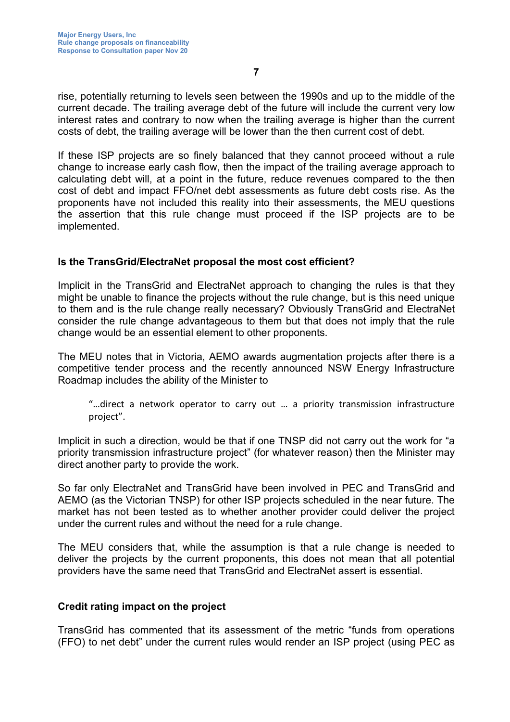rise, potentially returning to levels seen between the 1990s and up to the middle of the current decade. The trailing average debt of the future will include the current very low interest rates and contrary to now when the trailing average is higher than the current costs of debt, the trailing average will be lower than the then current cost of debt.

If these ISP projects are so finely balanced that they cannot proceed without a rule change to increase early cash flow, then the impact of the trailing average approach to calculating debt will, at a point in the future, reduce revenues compared to the then cost of debt and impact FFO/net debt assessments as future debt costs rise. As the proponents have not included this reality into their assessments, the MEU questions the assertion that this rule change must proceed if the ISP projects are to be implemented.

## **Is the TransGrid/ElectraNet proposal the most cost efficient?**

Implicit in the TransGrid and ElectraNet approach to changing the rules is that they might be unable to finance the projects without the rule change, but is this need unique to them and is the rule change really necessary? Obviously TransGrid and ElectraNet consider the rule change advantageous to them but that does not imply that the rule change would be an essential element to other proponents.

The MEU notes that in Victoria, AEMO awards augmentation projects after there is a competitive tender process and the recently announced NSW Energy Infrastructure Roadmap includes the ability of the Minister to

"…direct a network operator to carry out … a priority transmission infrastructure project".

Implicit in such a direction, would be that if one TNSP did not carry out the work for "a priority transmission infrastructure project" (for whatever reason) then the Minister may direct another party to provide the work.

So far only ElectraNet and TransGrid have been involved in PEC and TransGrid and AEMO (as the Victorian TNSP) for other ISP projects scheduled in the near future. The market has not been tested as to whether another provider could deliver the project under the current rules and without the need for a rule change.

The MEU considers that, while the assumption is that a rule change is needed to deliver the projects by the current proponents, this does not mean that all potential providers have the same need that TransGrid and ElectraNet assert is essential.

#### **Credit rating impact on the project**

TransGrid has commented that its assessment of the metric "funds from operations (FFO) to net debt" under the current rules would render an ISP project (using PEC as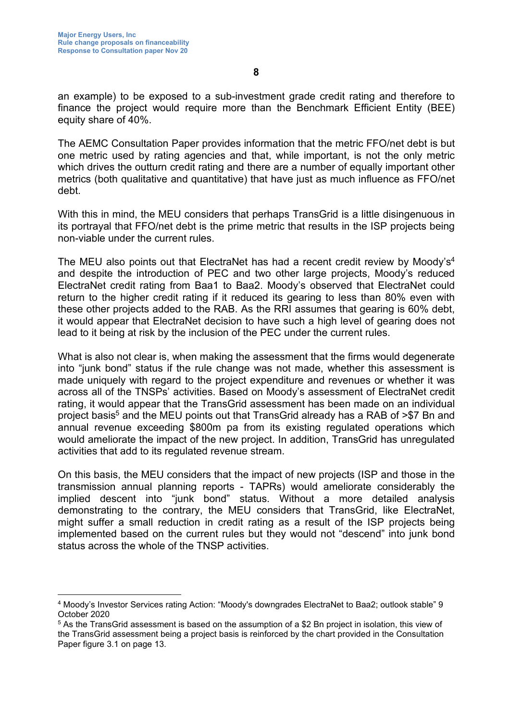an example) to be exposed to a sub-investment grade credit rating and therefore to finance the project would require more than the Benchmark Efficient Entity (BEE) equity share of 40%.

The AEMC Consultation Paper provides information that the metric FFO/net debt is but one metric used by rating agencies and that, while important, is not the only metric which drives the outturn credit rating and there are a number of equally important other metrics (both qualitative and quantitative) that have just as much influence as FFO/net debt.

With this in mind, the MEU considers that perhaps TransGrid is a little disingenuous in its portrayal that FFO/net debt is the prime metric that results in the ISP projects being non-viable under the current rules.

The MEU also points out that ElectraNet has had a recent credit review by Moody's<sup>4</sup> and despite the introduction of PEC and two other large projects, Moody's reduced ElectraNet credit rating from Baa1 to Baa2. Moody's observed that ElectraNet could return to the higher credit rating if it reduced its gearing to less than 80% even with these other projects added to the RAB. As the RRI assumes that gearing is 60% debt, it would appear that ElectraNet decision to have such a high level of gearing does not lead to it being at risk by the inclusion of the PEC under the current rules.

What is also not clear is, when making the assessment that the firms would degenerate into "junk bond" status if the rule change was not made, whether this assessment is made uniquely with regard to the project expenditure and revenues or whether it was across all of the TNSPs' activities. Based on Moody's assessment of ElectraNet credit rating, it would appear that the TransGrid assessment has been made on an individual project basis<sup>5</sup> and the MEU points out that TransGrid already has a RAB of >\$7 Bn and annual revenue exceeding \$800m pa from its existing regulated operations which would ameliorate the impact of the new project. In addition, TransGrid has unregulated activities that add to its regulated revenue stream.

On this basis, the MEU considers that the impact of new projects (ISP and those in the transmission annual planning reports - TAPRs) would ameliorate considerably the implied descent into "junk bond" status. Without a more detailed analysis demonstrating to the contrary, the MEU considers that TransGrid, like ElectraNet, might suffer a small reduction in credit rating as a result of the ISP projects being implemented based on the current rules but they would not "descend" into junk bond status across the whole of the TNSP activities.

<sup>4</sup> Moody's Investor Services rating Action: "Moody's downgrades ElectraNet to Baa2; outlook stable" 9 October 2020

 $^5$  As the TransGrid assessment is based on the assumption of a \$2 Bn project in isolation, this view of the TransGrid assessment being a project basis is reinforced by the chart provided in the Consultation Paper figure 3.1 on page 13.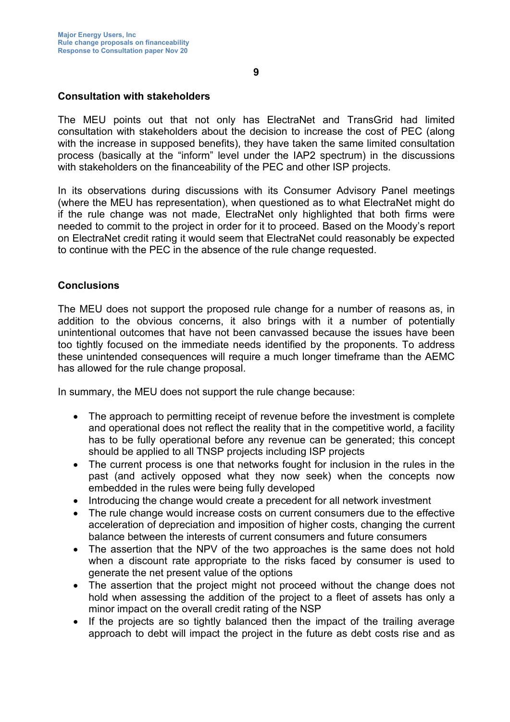The MEU points out that not only has ElectraNet and TransGrid had limited consultation with stakeholders about the decision to increase the cost of PEC (along with the increase in supposed benefits), they have taken the same limited consultation process (basically at the "inform" level under the IAP2 spectrum) in the discussions with stakeholders on the financeability of the PEC and other ISP projects.

In its observations during discussions with its Consumer Advisory Panel meetings (where the MEU has representation), when questioned as to what ElectraNet might do if the rule change was not made, ElectraNet only highlighted that both firms were needed to commit to the project in order for it to proceed. Based on the Moody's report on ElectraNet credit rating it would seem that ElectraNet could reasonably be expected to continue with the PEC in the absence of the rule change requested.

# **Conclusions**

The MEU does not support the proposed rule change for a number of reasons as, in addition to the obvious concerns, it also brings with it a number of potentially unintentional outcomes that have not been canvassed because the issues have been too tightly focused on the immediate needs identified by the proponents. To address these unintended consequences will require a much longer timeframe than the AEMC has allowed for the rule change proposal.

In summary, the MEU does not support the rule change because:

- The approach to permitting receipt of revenue before the investment is complete and operational does not reflect the reality that in the competitive world, a facility has to be fully operational before any revenue can be generated; this concept should be applied to all TNSP projects including ISP projects
- The current process is one that networks fought for inclusion in the rules in the past (and actively opposed what they now seek) when the concepts now embedded in the rules were being fully developed
- Introducing the change would create a precedent for all network investment
- The rule change would increase costs on current consumers due to the effective acceleration of depreciation and imposition of higher costs, changing the current balance between the interests of current consumers and future consumers
- The assertion that the NPV of the two approaches is the same does not hold when a discount rate appropriate to the risks faced by consumer is used to generate the net present value of the options
- The assertion that the project might not proceed without the change does not hold when assessing the addition of the project to a fleet of assets has only a minor impact on the overall credit rating of the NSP
- If the projects are so tightly balanced then the impact of the trailing average approach to debt will impact the project in the future as debt costs rise and as